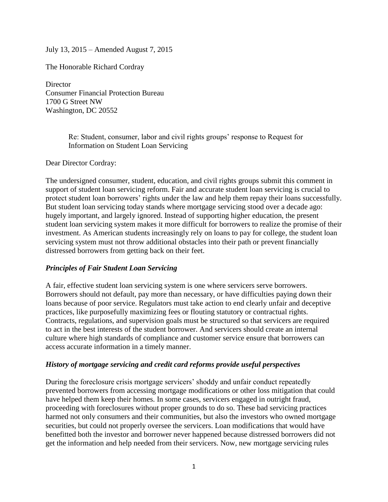July 13, 2015 – Amended August 7, 2015

The Honorable Richard Cordray

**Director** Consumer Financial Protection Bureau 1700 G Street NW Washington, DC 20552

> Re: Student, consumer, labor and civil rights groups' response to Request for Information on Student Loan Servicing

Dear Director Cordray:

The undersigned consumer, student, education, and civil rights groups submit this comment in support of student loan servicing reform. Fair and accurate student loan servicing is crucial to protect student loan borrowers' rights under the law and help them repay their loans successfully. But student loan servicing today stands where mortgage servicing stood over a decade ago: hugely important, and largely ignored. Instead of supporting higher education, the present student loan servicing system makes it more difficult for borrowers to realize the promise of their investment. As American students increasingly rely on loans to pay for college, the student loan servicing system must not throw additional obstacles into their path or prevent financially distressed borrowers from getting back on their feet.

#### *Principles of Fair Student Loan Servicing*

A fair, effective student loan servicing system is one where servicers serve borrowers. Borrowers should not default, pay more than necessary, or have difficulties paying down their loans because of poor service. Regulators must take action to end clearly unfair and deceptive practices, like purposefully maximizing fees or flouting statutory or contractual rights. Contracts, regulations, and supervision goals must be structured so that servicers are required to act in the best interests of the student borrower. And servicers should create an internal culture where high standards of compliance and customer service ensure that borrowers can access accurate information in a timely manner.

#### *History of mortgage servicing and credit card reforms provide useful perspectives*

During the foreclosure crisis mortgage servicers' shoddy and unfair conduct repeatedly prevented borrowers from accessing mortgage modifications or other loss mitigation that could have helped them keep their homes. In some cases, servicers engaged in outright fraud, proceeding with foreclosures without proper grounds to do so. These bad servicing practices harmed not only consumers and their communities, but also the investors who owned mortgage securities, but could not properly oversee the servicers. Loan modifications that would have benefitted both the investor and borrower never happened because distressed borrowers did not get the information and help needed from their servicers. Now, new mortgage servicing rules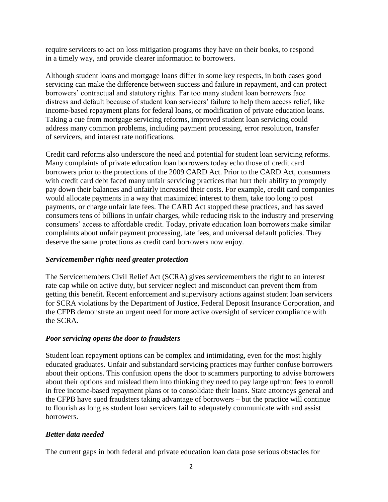require servicers to act on loss mitigation programs they have on their books, to respond in a timely way, and provide clearer information to borrowers.

Although student loans and mortgage loans differ in some key respects, in both cases good servicing can make the difference between success and failure in repayment, and can protect borrowers' contractual and statutory rights. Far too many student loan borrowers face distress and default because of student loan servicers' failure to help them access relief, like income-based repayment plans for federal loans, or modification of private education loans. Taking a cue from mortgage servicing reforms, improved student loan servicing could address many common problems, including payment processing, error resolution, transfer of servicers, and interest rate notifications.

Credit card reforms also underscore the need and potential for student loan servicing reforms. Many complaints of private education loan borrowers today echo those of credit card borrowers prior to the protections of the 2009 CARD Act. Prior to the CARD Act, consumers with credit card debt faced many unfair servicing practices that hurt their ability to promptly pay down their balances and unfairly increased their costs. For example, credit card companies would allocate payments in a way that maximized interest to them, take too long to post payments, or charge unfair late fees. The CARD Act stopped these practices, and has saved consumers tens of billions in unfair charges, while reducing risk to the industry and preserving consumers' access to affordable credit. Today, private education loan borrowers make similar complaints about unfair payment processing, late fees, and universal default policies. They deserve the same protections as credit card borrowers now enjoy.

## *Servicemember rights need greater protection*

The Servicemembers Civil Relief Act (SCRA) gives servicemembers the right to an interest rate cap while on active duty, but servicer neglect and misconduct can prevent them from getting this benefit. Recent enforcement and supervisory actions against student loan servicers for SCRA violations by the Department of Justice, Federal Deposit Insurance Corporation, and the CFPB demonstrate an urgent need for more active oversight of servicer compliance with the SCRA.

## *Poor servicing opens the door to fraudsters*

Student loan repayment options can be complex and intimidating, even for the most highly educated graduates. Unfair and substandard servicing practices may further confuse borrowers about their options. This confusion opens the door to scammers purporting to advise borrowers about their options and mislead them into thinking they need to pay large upfront fees to enroll in free income-based repayment plans or to consolidate their loans. State attorneys general and the CFPB have sued fraudsters taking advantage of borrowers – but the practice will continue to flourish as long as student loan servicers fail to adequately communicate with and assist borrowers.

## *Better data needed*

The current gaps in both federal and private education loan data pose serious obstacles for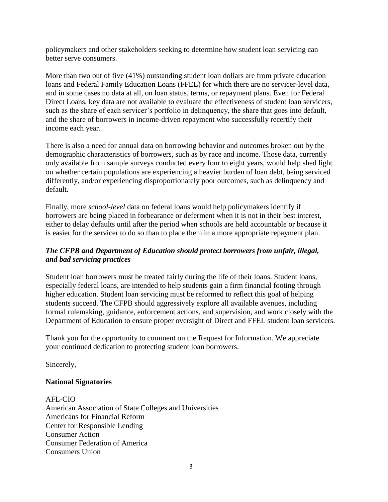policymakers and other stakeholders seeking to determine how student loan servicing can better serve consumers.

More than two out of five (41%) outstanding student loan dollars are from private education loans and Federal Family Education Loans (FFEL) for which there are no servicer-level data, and in some cases no data at all, on loan status, terms, or repayment plans. Even for Federal Direct Loans, key data are not available to evaluate the effectiveness of student loan servicers, such as the share of each servicer's portfolio in delinquency, the share that goes into default, and the share of borrowers in income-driven repayment who successfully recertify their income each year.

There is also a need for annual data on borrowing behavior and outcomes broken out by the demographic characteristics of borrowers, such as by race and income. Those data, currently only available from sample surveys conducted every four to eight years, would help shed light on whether certain populations are experiencing a heavier burden of loan debt, being serviced differently, and/or experiencing disproportionately poor outcomes, such as delinquency and default.

Finally, more *school-level* data on federal loans would help policymakers identify if borrowers are being placed in forbearance or deferment when it is not in their best interest, either to delay defaults until after the period when schools are held accountable or because it is easier for the servicer to do so than to place them in a more appropriate repayment plan.

## *The CFPB and Department of Education should protect borrowers from unfair, illegal, and bad servicing practices*

Student loan borrowers must be treated fairly during the life of their loans. Student loans, especially federal loans, are intended to help students gain a firm financial footing through higher education. Student loan servicing must be reformed to reflect this goal of helping students succeed. The CFPB should aggressively explore all available avenues, including formal rulemaking, guidance, enforcement actions, and supervision, and work closely with the Department of Education to ensure proper oversight of Direct and FFEL student loan servicers.

Thank you for the opportunity to comment on the Request for Information. We appreciate your continued dedication to protecting student loan borrowers.

Sincerely,

# **National Signatories**

AFL-CIO American Association of State Colleges and Universities Americans for Financial Reform Center for Responsible Lending Consumer Action Consumer Federation of America Consumers Union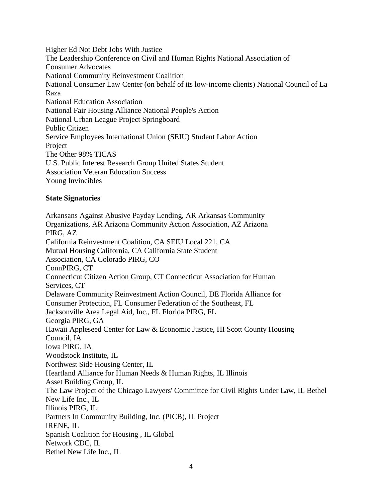Higher Ed Not Debt Jobs With Justice The Leadership Conference on Civil and Human Rights National Association of Consumer Advocates National Community Reinvestment Coalition National Consumer Law Center (on behalf of its low-income clients) National Council of La Raza National Education Association National Fair Housing Alliance National People's Action National Urban League Project Springboard Public Citizen Service Employees International Union (SEIU) Student Labor Action Project The Other 98% TICAS U.S. Public Interest Research Group United States Student Association Veteran Education Success Young Invincibles

#### **State Signatories**

Arkansans Against Abusive Payday Lending, AR Arkansas Community Organizations, AR Arizona Community Action Association, AZ Arizona PIRG, AZ California Reinvestment Coalition, CA SEIU Local 221, CA Mutual Housing California, CA California State Student Association, CA Colorado PIRG, CO ConnPIRG, CT Connecticut Citizen Action Group, CT Connecticut Association for Human Services, CT Delaware Community Reinvestment Action Council, DE Florida Alliance for Consumer Protection, FL Consumer Federation of the Southeast, FL Jacksonville Area Legal Aid, Inc., FL Florida PIRG, FL Georgia PIRG, GA Hawaii Appleseed Center for Law & Economic Justice, HI Scott County Housing Council, IA Iowa PIRG, IA Woodstock Institute, IL Northwest Side Housing Center, IL Heartland Alliance for Human Needs & Human Rights, IL Illinois Asset Building Group, IL The Law Project of the Chicago Lawyers' Committee for Civil Rights Under Law, IL Bethel New Life Inc., IL Illinois PIRG, IL Partners In Community Building, Inc. (PICB), IL Project IRENE, IL Spanish Coalition for Housing , IL Global Network CDC, IL Bethel New Life Inc., IL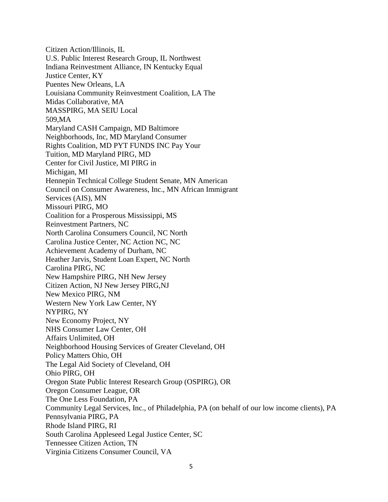Citizen Action/Illinois, IL U.S. Public Interest Research Group, IL Northwest Indiana Reinvestment Alliance, IN Kentucky Equal Justice Center, KY Puentes New Orleans, LA Louisiana Community Reinvestment Coalition, LA The Midas Collaborative, MA MASSPIRG, MA SEIU Local 509,MA Maryland CASH Campaign, MD Baltimore Neighborhoods, Inc, MD Maryland Consumer Rights Coalition, MD PYT FUNDS INC Pay Your Tuition, MD Maryland PIRG, MD Center for Civil Justice, MI PIRG in Michigan, MI Hennepin Technical College Student Senate, MN American Council on Consumer Awareness, Inc., MN African Immigrant Services (AIS), MN Missouri PIRG, MO Coalition for a Prosperous Mississippi, MS Reinvestment Partners, NC North Carolina Consumers Council, NC North Carolina Justice Center, NC Action NC, NC Achievement Academy of Durham, NC Heather Jarvis, Student Loan Expert, NC North Carolina PIRG, NC New Hampshire PIRG, NH New Jersey Citizen Action, NJ New Jersey PIRG,NJ New Mexico PIRG, NM Western New York Law Center, NY NYPIRG, NY New Economy Project, NY NHS Consumer Law Center, OH Affairs Unlimited, OH Neighborhood Housing Services of Greater Cleveland, OH Policy Matters Ohio, OH The Legal Aid Society of Cleveland, OH Ohio PIRG, OH Oregon State Public Interest Research Group (OSPIRG), OR Oregon Consumer League, OR The One Less Foundation, PA Community Legal Services, Inc., of Philadelphia, PA (on behalf of our low income clients), PA Pennsylvania PIRG, PA Rhode Island PIRG, RI South Carolina Appleseed Legal Justice Center, SC Tennessee Citizen Action, TN Virginia Citizens Consumer Council, VA